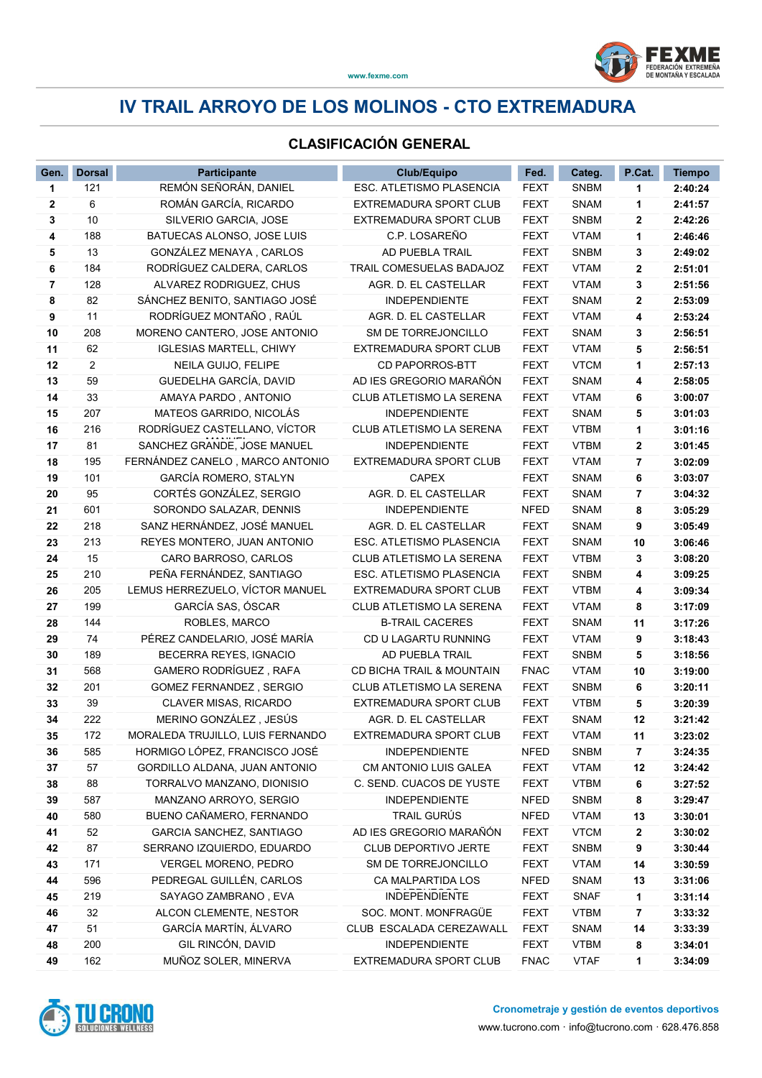

## IV TRAIL ARROYO DE LOS MOLINOS - CTO EXTREMADURA

#### CLASIFICACIÓN GENERAL

| REMÓN SEÑORÁN, DANIEL<br>ESC. ATLETISMO PLASENCIA<br><b>SNBM</b><br><b>FEXT</b><br>121<br>2:40:24<br>1<br>1<br>ROMÁN GARCÍA, RICARDO<br>6<br><b>FEXT</b><br><b>SNAM</b><br>2:41:57<br>2<br><b>EXTREMADURA SPORT CLUB</b><br>1<br><b>FEXT</b><br><b>SNBM</b><br>3<br>10<br>SILVERIO GARCIA, JOSE<br>EXTREMADURA SPORT CLUB<br>2:42:26<br>$\mathbf{2}$<br>C.P. LOSAREÑO<br><b>FEXT</b><br><b>VTAM</b><br>4<br>188<br>BATUECAS ALONSO, JOSE LUIS<br>2:46:46<br>1<br>13<br>GONZÁLEZ MENAYA, CARLOS<br>AD PUEBLA TRAIL<br><b>FEXT</b><br><b>SNBM</b><br>5<br>3<br>2:49:02<br>184<br>RODRÍGUEZ CALDERA, CARLOS<br>TRAIL COMESUELAS BADAJOZ<br>6<br>FEXT<br><b>VTAM</b><br>2<br>2:51:01<br>128<br>ALVAREZ RODRIGUEZ, CHUS<br>AGR. D. EL CASTELLAR<br>2:51:56<br>7<br>FEXT<br><b>VTAM</b><br>3<br>SÁNCHEZ BENITO, SANTIAGO JOSÉ<br><b>INDEPENDIENTE</b><br>8<br>82<br><b>FEXT</b><br><b>SNAM</b><br>2<br>2:53:09<br>9<br>RODRÍGUEZ MONTAÑO, RAÚL<br>AGR. D. EL CASTELLAR<br><b>VTAM</b><br>11<br><b>FEXT</b><br>4<br>2:53:24<br>MORENO CANTERO, JOSE ANTONIO<br>SM DE TORREJONCILLO<br><b>FEXT</b><br>10<br>208<br><b>SNAM</b><br>2:56:51<br>3<br>11<br><b>FEXT</b><br><b>VTAM</b><br>2:56:51<br>62<br><b>IGLESIAS MARTELL, CHIWY</b><br>EXTREMADURA SPORT CLUB<br>5<br>2<br><b>FEXT</b><br>12<br>NEILA GUIJO, FELIPE<br><b>CD PAPORROS-BTT</b><br><b>VTCM</b><br>2:57:13<br>1<br>59<br>GUEDELHA GARCÍA, DAVID<br>AD IES GREGORIO MARAÑÓN<br><b>FEXT</b><br><b>SNAM</b><br>13<br>2:58:05<br>4<br>14<br>33<br>AMAYA PARDO, ANTONIO<br>CLUB ATLETISMO LA SERENA<br><b>FEXT</b><br><b>VTAM</b><br>3:00:07<br>6<br>207<br>MATEOS GARRIDO, NICOLÁS<br><b>INDEPENDIENTE</b><br><b>FEXT</b><br><b>SNAM</b><br>3:01:03<br>15<br>5<br>RODRÍGUEZ CASTELLANO, VÍCTOR<br>216<br>CLUB ATLETISMO LA SERENA<br><b>FEXT</b><br><b>VTBM</b><br>16<br>3:01:16<br>1<br>81<br>SANCHEZ GRANDE, JOSE MANUEL<br><b>INDEPENDIENTE</b><br>17<br>FEXT<br><b>VTBM</b><br>3:01:45<br>2<br>18<br>195<br>FERNÁNDEZ CANELO, MARCO ANTONIO<br>EXTREMADURA SPORT CLUB<br><b>VTAM</b><br>3:02:09<br><b>FEXT</b><br>7<br>GARCÍA ROMERO, STALYN<br>101<br><b>CAPEX</b><br><b>SNAM</b><br>19<br><b>FEXT</b><br>3:03:07<br>6<br>CORTÉS GONZÁLEZ, SERGIO<br>95<br>AGR. D. EL CASTELLAR<br><b>FEXT</b><br><b>SNAM</b><br>20<br>3:04:32<br>7<br>601<br><b>INDEPENDIENTE</b><br><b>NFED</b><br><b>SNAM</b><br>SORONDO SALAZAR, DENNIS<br>3:05:29<br>21<br>8<br>218<br>SANZ HERNÁNDEZ, JOSÉ MANUEL<br>AGR. D. EL CASTELLAR<br><b>FEXT</b><br><b>SNAM</b><br>3:05:49<br>22<br>9<br>213<br>ESC. ATLETISMO PLASENCIA<br><b>FEXT</b><br>23<br>REYES MONTERO, JUAN ANTONIO<br><b>SNAM</b><br>3:06:46<br>10<br>15<br>CLUB ATLETISMO LA SERENA<br><b>FEXT</b><br><b>VTBM</b><br>24<br>CARO BARROSO, CARLOS<br>3<br>3:08:20<br>PEÑA FERNÁNDEZ, SANTIAGO<br>210<br>ESC. ATLETISMO PLASENCIA<br><b>FEXT</b><br><b>SNBM</b><br>3:09:25<br>25<br>4<br>205<br>LEMUS HERREZUELO, VÍCTOR MANUEL<br>EXTREMADURA SPORT CLUB<br><b>FEXT</b><br><b>VTBM</b><br>26<br>3:09:34<br>4<br>GARCÍA SAS, ÓSCAR<br>199<br>3:17:09<br>27<br>CLUB ATLETISMO LA SERENA<br>FEXT<br><b>VTAM</b><br>8<br>ROBLES, MARCO<br><b>B-TRAIL CACERES</b><br>28<br>144<br><b>FEXT</b><br><b>SNAM</b><br>11<br>3:17:26<br>74<br>PÉREZ CANDELARIO, JOSÉ MARÍA<br><b>VTAM</b><br>29<br>CD U LAGARTU RUNNING<br><b>FEXT</b><br>9<br>3:18:43<br>BECERRA REYES, IGNACIO<br>30<br>189<br>AD PUEBLA TRAIL<br><b>FEXT</b><br><b>SNBM</b><br>3:18:56<br>5<br>GAMERO RODRÍGUEZ, RAFA<br>568<br>CD BICHA TRAIL & MOUNTAIN<br><b>FNAC</b><br><b>VTAM</b><br>3:19:00<br>31<br>10<br>201<br><b>FEXT</b><br><b>SNBM</b><br>32<br><b>GOMEZ FERNANDEZ, SERGIO</b><br>CLUB ATLETISMO LA SERENA<br>3:20:11<br>6<br>CLAVER MISAS, RICARDO<br>EXTREMADURA SPORT CLUB<br><b>FEXT</b><br><b>VTBM</b><br>33<br>39<br>3:20:39<br>5<br>34<br>MERINO GONZÁLEZ, JESÚS<br>AGR. D. EL CASTELLAR<br><b>FEXT</b><br><b>SNAM</b><br>12<br>3:21:42<br>222<br>172<br>EXTREMADURA SPORT CLUB<br>MORALEDA TRUJILLO, LUIS FERNANDO<br><b>FEXT</b><br><b>VTAM</b><br>35<br>11<br>3:23:02<br>HORMIGO LÓPEZ, FRANCISCO JOSÉ<br>585<br><b>INDEPENDIENTE</b><br><b>NFED</b><br><b>SNBM</b><br>3:24:35<br>36<br>7<br>57<br>GORDILLO ALDANA, JUAN ANTONIO<br>CM ANTONIO LUIS GALEA<br>37<br>FEXT<br><b>VTAM</b><br>12<br>3:24:42<br>38<br>88<br>TORRALVO MANZANO, DIONISIO<br>C. SEND. CUACOS DE YUSTE<br>FEXT<br><b>VTBM</b><br>6<br>3:27:52<br>587<br>MANZANO ARROYO, SERGIO<br><b>INDEPENDIENTE</b><br><b>NFED</b><br><b>SNBM</b><br>39<br>8<br>3:29:47<br>TRAIL GURÚS<br>580<br>BUENO CAÑAMERO, FERNANDO<br><b>NFED</b><br><b>VTAM</b><br>40<br>13<br>3:30:01<br>AD IES GREGORIO MARAÑÓN<br>52<br>GARCIA SANCHEZ, SANTIAGO<br><b>FEXT</b><br><b>VTCM</b><br>41<br>3:30:02<br>2<br>87<br>SERRANO IZQUIERDO, EDUARDO<br><b>CLUB DEPORTIVO JERTE</b><br><b>FEXT</b><br><b>SNBM</b><br>42<br>9<br>3:30:44<br>171<br>VERGEL MORENO, PEDRO<br>SM DE TORREJONCILLO<br><b>FEXT</b><br><b>VTAM</b><br>43<br>14<br>3:30:59<br>PEDREGAL GUILLÉN, CARLOS<br>596<br>CA MALPARTIDA LOS<br><b>NFED</b><br><b>SNAM</b><br>44<br>13<br>3:31:06<br>SAYAGO ZAMBRANO, EVA<br><b>INDEPENDIENTE</b><br>45<br>219<br><b>FEXT</b><br><b>SNAF</b><br>1<br>3:31:14<br>ALCON CLEMENTE, NESTOR<br>SOC. MONT. MONFRAGÜE<br>46<br>32<br><b>FEXT</b><br><b>VTBM</b><br>3:33:32<br>7<br>GARCÍA MARTÍN, ÁLVARO<br>51<br>CLUB ESCALADA CEREZAWALL<br>47<br><b>FEXT</b><br><b>SNAM</b><br>3:33:39<br>14<br>GIL RINCÓN, DAVID<br>200<br><b>INDEPENDIENTE</b><br><b>FEXT</b><br><b>VTBM</b><br>48<br>8<br>3:34:01 | Gen. | <b>Dorsal</b> | <b>Participante</b>  | <b>Club/Equipo</b>     | Fed.        | Categ.      | P.Cat. | <b>Tiempo</b> |
|--------------------------------------------------------------------------------------------------------------------------------------------------------------------------------------------------------------------------------------------------------------------------------------------------------------------------------------------------------------------------------------------------------------------------------------------------------------------------------------------------------------------------------------------------------------------------------------------------------------------------------------------------------------------------------------------------------------------------------------------------------------------------------------------------------------------------------------------------------------------------------------------------------------------------------------------------------------------------------------------------------------------------------------------------------------------------------------------------------------------------------------------------------------------------------------------------------------------------------------------------------------------------------------------------------------------------------------------------------------------------------------------------------------------------------------------------------------------------------------------------------------------------------------------------------------------------------------------------------------------------------------------------------------------------------------------------------------------------------------------------------------------------------------------------------------------------------------------------------------------------------------------------------------------------------------------------------------------------------------------------------------------------------------------------------------------------------------------------------------------------------------------------------------------------------------------------------------------------------------------------------------------------------------------------------------------------------------------------------------------------------------------------------------------------------------------------------------------------------------------------------------------------------------------------------------------------------------------------------------------------------------------------------------------------------------------------------------------------------------------------------------------------------------------------------------------------------------------------------------------------------------------------------------------------------------------------------------------------------------------------------------------------------------------------------------------------------------------------------------------------------------------------------------------------------------------------------------------------------------------------------------------------------------------------------------------------------------------------------------------------------------------------------------------------------------------------------------------------------------------------------------------------------------------------------------------------------------------------------------------------------------------------------------------------------------------------------------------------------------------------------------------------------------------------------------------------------------------------------------------------------------------------------------------------------------------------------------------------------------------------------------------------------------------------------------------------------------------------------------------------------------------------------------------------------------------------------------------------------------------------------------------------------------------------------------------------------------------------------------------------------------------------------------------------------------------------------------------------------------------------------------------------------------------------------------------------------------------------------------------------------------------------------------------------------------------------------------------------------------------------------------------------------------------------------------------------------------------------------------------------------------------------------------------------------------------------------------------------------------------------------------------------------------------------------------------------------------------------------------------------------------------------------------------------------------------------------------------------------------------------------------------------------------------------------------------------------------------------------------------------------------------------------------------------------------------------------------------------------------------------------------------------------------|------|---------------|----------------------|------------------------|-------------|-------------|--------|---------------|
|                                                                                                                                                                                                                                                                                                                                                                                                                                                                                                                                                                                                                                                                                                                                                                                                                                                                                                                                                                                                                                                                                                                                                                                                                                                                                                                                                                                                                                                                                                                                                                                                                                                                                                                                                                                                                                                                                                                                                                                                                                                                                                                                                                                                                                                                                                                                                                                                                                                                                                                                                                                                                                                                                                                                                                                                                                                                                                                                                                                                                                                                                                                                                                                                                                                                                                                                                                                                                                                                                                                                                                                                                                                                                                                                                                                                                                                                                                                                                                                                                                                                                                                                                                                                                                                                                                                                                                                                                                                                                                                                                                                                                                                                                                                                                                                                                                                                                                                                                                                                                                                                                                                                                                                                                                                                                                                                                                                                                                                                                                                                      |      |               |                      |                        |             |             |        |               |
|                                                                                                                                                                                                                                                                                                                                                                                                                                                                                                                                                                                                                                                                                                                                                                                                                                                                                                                                                                                                                                                                                                                                                                                                                                                                                                                                                                                                                                                                                                                                                                                                                                                                                                                                                                                                                                                                                                                                                                                                                                                                                                                                                                                                                                                                                                                                                                                                                                                                                                                                                                                                                                                                                                                                                                                                                                                                                                                                                                                                                                                                                                                                                                                                                                                                                                                                                                                                                                                                                                                                                                                                                                                                                                                                                                                                                                                                                                                                                                                                                                                                                                                                                                                                                                                                                                                                                                                                                                                                                                                                                                                                                                                                                                                                                                                                                                                                                                                                                                                                                                                                                                                                                                                                                                                                                                                                                                                                                                                                                                                                      |      |               |                      |                        |             |             |        |               |
|                                                                                                                                                                                                                                                                                                                                                                                                                                                                                                                                                                                                                                                                                                                                                                                                                                                                                                                                                                                                                                                                                                                                                                                                                                                                                                                                                                                                                                                                                                                                                                                                                                                                                                                                                                                                                                                                                                                                                                                                                                                                                                                                                                                                                                                                                                                                                                                                                                                                                                                                                                                                                                                                                                                                                                                                                                                                                                                                                                                                                                                                                                                                                                                                                                                                                                                                                                                                                                                                                                                                                                                                                                                                                                                                                                                                                                                                                                                                                                                                                                                                                                                                                                                                                                                                                                                                                                                                                                                                                                                                                                                                                                                                                                                                                                                                                                                                                                                                                                                                                                                                                                                                                                                                                                                                                                                                                                                                                                                                                                                                      |      |               |                      |                        |             |             |        |               |
|                                                                                                                                                                                                                                                                                                                                                                                                                                                                                                                                                                                                                                                                                                                                                                                                                                                                                                                                                                                                                                                                                                                                                                                                                                                                                                                                                                                                                                                                                                                                                                                                                                                                                                                                                                                                                                                                                                                                                                                                                                                                                                                                                                                                                                                                                                                                                                                                                                                                                                                                                                                                                                                                                                                                                                                                                                                                                                                                                                                                                                                                                                                                                                                                                                                                                                                                                                                                                                                                                                                                                                                                                                                                                                                                                                                                                                                                                                                                                                                                                                                                                                                                                                                                                                                                                                                                                                                                                                                                                                                                                                                                                                                                                                                                                                                                                                                                                                                                                                                                                                                                                                                                                                                                                                                                                                                                                                                                                                                                                                                                      |      |               |                      |                        |             |             |        |               |
|                                                                                                                                                                                                                                                                                                                                                                                                                                                                                                                                                                                                                                                                                                                                                                                                                                                                                                                                                                                                                                                                                                                                                                                                                                                                                                                                                                                                                                                                                                                                                                                                                                                                                                                                                                                                                                                                                                                                                                                                                                                                                                                                                                                                                                                                                                                                                                                                                                                                                                                                                                                                                                                                                                                                                                                                                                                                                                                                                                                                                                                                                                                                                                                                                                                                                                                                                                                                                                                                                                                                                                                                                                                                                                                                                                                                                                                                                                                                                                                                                                                                                                                                                                                                                                                                                                                                                                                                                                                                                                                                                                                                                                                                                                                                                                                                                                                                                                                                                                                                                                                                                                                                                                                                                                                                                                                                                                                                                                                                                                                                      |      |               |                      |                        |             |             |        |               |
|                                                                                                                                                                                                                                                                                                                                                                                                                                                                                                                                                                                                                                                                                                                                                                                                                                                                                                                                                                                                                                                                                                                                                                                                                                                                                                                                                                                                                                                                                                                                                                                                                                                                                                                                                                                                                                                                                                                                                                                                                                                                                                                                                                                                                                                                                                                                                                                                                                                                                                                                                                                                                                                                                                                                                                                                                                                                                                                                                                                                                                                                                                                                                                                                                                                                                                                                                                                                                                                                                                                                                                                                                                                                                                                                                                                                                                                                                                                                                                                                                                                                                                                                                                                                                                                                                                                                                                                                                                                                                                                                                                                                                                                                                                                                                                                                                                                                                                                                                                                                                                                                                                                                                                                                                                                                                                                                                                                                                                                                                                                                      |      |               |                      |                        |             |             |        |               |
|                                                                                                                                                                                                                                                                                                                                                                                                                                                                                                                                                                                                                                                                                                                                                                                                                                                                                                                                                                                                                                                                                                                                                                                                                                                                                                                                                                                                                                                                                                                                                                                                                                                                                                                                                                                                                                                                                                                                                                                                                                                                                                                                                                                                                                                                                                                                                                                                                                                                                                                                                                                                                                                                                                                                                                                                                                                                                                                                                                                                                                                                                                                                                                                                                                                                                                                                                                                                                                                                                                                                                                                                                                                                                                                                                                                                                                                                                                                                                                                                                                                                                                                                                                                                                                                                                                                                                                                                                                                                                                                                                                                                                                                                                                                                                                                                                                                                                                                                                                                                                                                                                                                                                                                                                                                                                                                                                                                                                                                                                                                                      |      |               |                      |                        |             |             |        |               |
|                                                                                                                                                                                                                                                                                                                                                                                                                                                                                                                                                                                                                                                                                                                                                                                                                                                                                                                                                                                                                                                                                                                                                                                                                                                                                                                                                                                                                                                                                                                                                                                                                                                                                                                                                                                                                                                                                                                                                                                                                                                                                                                                                                                                                                                                                                                                                                                                                                                                                                                                                                                                                                                                                                                                                                                                                                                                                                                                                                                                                                                                                                                                                                                                                                                                                                                                                                                                                                                                                                                                                                                                                                                                                                                                                                                                                                                                                                                                                                                                                                                                                                                                                                                                                                                                                                                                                                                                                                                                                                                                                                                                                                                                                                                                                                                                                                                                                                                                                                                                                                                                                                                                                                                                                                                                                                                                                                                                                                                                                                                                      |      |               |                      |                        |             |             |        |               |
|                                                                                                                                                                                                                                                                                                                                                                                                                                                                                                                                                                                                                                                                                                                                                                                                                                                                                                                                                                                                                                                                                                                                                                                                                                                                                                                                                                                                                                                                                                                                                                                                                                                                                                                                                                                                                                                                                                                                                                                                                                                                                                                                                                                                                                                                                                                                                                                                                                                                                                                                                                                                                                                                                                                                                                                                                                                                                                                                                                                                                                                                                                                                                                                                                                                                                                                                                                                                                                                                                                                                                                                                                                                                                                                                                                                                                                                                                                                                                                                                                                                                                                                                                                                                                                                                                                                                                                                                                                                                                                                                                                                                                                                                                                                                                                                                                                                                                                                                                                                                                                                                                                                                                                                                                                                                                                                                                                                                                                                                                                                                      |      |               |                      |                        |             |             |        |               |
|                                                                                                                                                                                                                                                                                                                                                                                                                                                                                                                                                                                                                                                                                                                                                                                                                                                                                                                                                                                                                                                                                                                                                                                                                                                                                                                                                                                                                                                                                                                                                                                                                                                                                                                                                                                                                                                                                                                                                                                                                                                                                                                                                                                                                                                                                                                                                                                                                                                                                                                                                                                                                                                                                                                                                                                                                                                                                                                                                                                                                                                                                                                                                                                                                                                                                                                                                                                                                                                                                                                                                                                                                                                                                                                                                                                                                                                                                                                                                                                                                                                                                                                                                                                                                                                                                                                                                                                                                                                                                                                                                                                                                                                                                                                                                                                                                                                                                                                                                                                                                                                                                                                                                                                                                                                                                                                                                                                                                                                                                                                                      |      |               |                      |                        |             |             |        |               |
|                                                                                                                                                                                                                                                                                                                                                                                                                                                                                                                                                                                                                                                                                                                                                                                                                                                                                                                                                                                                                                                                                                                                                                                                                                                                                                                                                                                                                                                                                                                                                                                                                                                                                                                                                                                                                                                                                                                                                                                                                                                                                                                                                                                                                                                                                                                                                                                                                                                                                                                                                                                                                                                                                                                                                                                                                                                                                                                                                                                                                                                                                                                                                                                                                                                                                                                                                                                                                                                                                                                                                                                                                                                                                                                                                                                                                                                                                                                                                                                                                                                                                                                                                                                                                                                                                                                                                                                                                                                                                                                                                                                                                                                                                                                                                                                                                                                                                                                                                                                                                                                                                                                                                                                                                                                                                                                                                                                                                                                                                                                                      |      |               |                      |                        |             |             |        |               |
|                                                                                                                                                                                                                                                                                                                                                                                                                                                                                                                                                                                                                                                                                                                                                                                                                                                                                                                                                                                                                                                                                                                                                                                                                                                                                                                                                                                                                                                                                                                                                                                                                                                                                                                                                                                                                                                                                                                                                                                                                                                                                                                                                                                                                                                                                                                                                                                                                                                                                                                                                                                                                                                                                                                                                                                                                                                                                                                                                                                                                                                                                                                                                                                                                                                                                                                                                                                                                                                                                                                                                                                                                                                                                                                                                                                                                                                                                                                                                                                                                                                                                                                                                                                                                                                                                                                                                                                                                                                                                                                                                                                                                                                                                                                                                                                                                                                                                                                                                                                                                                                                                                                                                                                                                                                                                                                                                                                                                                                                                                                                      |      |               |                      |                        |             |             |        |               |
|                                                                                                                                                                                                                                                                                                                                                                                                                                                                                                                                                                                                                                                                                                                                                                                                                                                                                                                                                                                                                                                                                                                                                                                                                                                                                                                                                                                                                                                                                                                                                                                                                                                                                                                                                                                                                                                                                                                                                                                                                                                                                                                                                                                                                                                                                                                                                                                                                                                                                                                                                                                                                                                                                                                                                                                                                                                                                                                                                                                                                                                                                                                                                                                                                                                                                                                                                                                                                                                                                                                                                                                                                                                                                                                                                                                                                                                                                                                                                                                                                                                                                                                                                                                                                                                                                                                                                                                                                                                                                                                                                                                                                                                                                                                                                                                                                                                                                                                                                                                                                                                                                                                                                                                                                                                                                                                                                                                                                                                                                                                                      |      |               |                      |                        |             |             |        |               |
|                                                                                                                                                                                                                                                                                                                                                                                                                                                                                                                                                                                                                                                                                                                                                                                                                                                                                                                                                                                                                                                                                                                                                                                                                                                                                                                                                                                                                                                                                                                                                                                                                                                                                                                                                                                                                                                                                                                                                                                                                                                                                                                                                                                                                                                                                                                                                                                                                                                                                                                                                                                                                                                                                                                                                                                                                                                                                                                                                                                                                                                                                                                                                                                                                                                                                                                                                                                                                                                                                                                                                                                                                                                                                                                                                                                                                                                                                                                                                                                                                                                                                                                                                                                                                                                                                                                                                                                                                                                                                                                                                                                                                                                                                                                                                                                                                                                                                                                                                                                                                                                                                                                                                                                                                                                                                                                                                                                                                                                                                                                                      |      |               |                      |                        |             |             |        |               |
|                                                                                                                                                                                                                                                                                                                                                                                                                                                                                                                                                                                                                                                                                                                                                                                                                                                                                                                                                                                                                                                                                                                                                                                                                                                                                                                                                                                                                                                                                                                                                                                                                                                                                                                                                                                                                                                                                                                                                                                                                                                                                                                                                                                                                                                                                                                                                                                                                                                                                                                                                                                                                                                                                                                                                                                                                                                                                                                                                                                                                                                                                                                                                                                                                                                                                                                                                                                                                                                                                                                                                                                                                                                                                                                                                                                                                                                                                                                                                                                                                                                                                                                                                                                                                                                                                                                                                                                                                                                                                                                                                                                                                                                                                                                                                                                                                                                                                                                                                                                                                                                                                                                                                                                                                                                                                                                                                                                                                                                                                                                                      |      |               |                      |                        |             |             |        |               |
|                                                                                                                                                                                                                                                                                                                                                                                                                                                                                                                                                                                                                                                                                                                                                                                                                                                                                                                                                                                                                                                                                                                                                                                                                                                                                                                                                                                                                                                                                                                                                                                                                                                                                                                                                                                                                                                                                                                                                                                                                                                                                                                                                                                                                                                                                                                                                                                                                                                                                                                                                                                                                                                                                                                                                                                                                                                                                                                                                                                                                                                                                                                                                                                                                                                                                                                                                                                                                                                                                                                                                                                                                                                                                                                                                                                                                                                                                                                                                                                                                                                                                                                                                                                                                                                                                                                                                                                                                                                                                                                                                                                                                                                                                                                                                                                                                                                                                                                                                                                                                                                                                                                                                                                                                                                                                                                                                                                                                                                                                                                                      |      |               |                      |                        |             |             |        |               |
|                                                                                                                                                                                                                                                                                                                                                                                                                                                                                                                                                                                                                                                                                                                                                                                                                                                                                                                                                                                                                                                                                                                                                                                                                                                                                                                                                                                                                                                                                                                                                                                                                                                                                                                                                                                                                                                                                                                                                                                                                                                                                                                                                                                                                                                                                                                                                                                                                                                                                                                                                                                                                                                                                                                                                                                                                                                                                                                                                                                                                                                                                                                                                                                                                                                                                                                                                                                                                                                                                                                                                                                                                                                                                                                                                                                                                                                                                                                                                                                                                                                                                                                                                                                                                                                                                                                                                                                                                                                                                                                                                                                                                                                                                                                                                                                                                                                                                                                                                                                                                                                                                                                                                                                                                                                                                                                                                                                                                                                                                                                                      |      |               |                      |                        |             |             |        |               |
|                                                                                                                                                                                                                                                                                                                                                                                                                                                                                                                                                                                                                                                                                                                                                                                                                                                                                                                                                                                                                                                                                                                                                                                                                                                                                                                                                                                                                                                                                                                                                                                                                                                                                                                                                                                                                                                                                                                                                                                                                                                                                                                                                                                                                                                                                                                                                                                                                                                                                                                                                                                                                                                                                                                                                                                                                                                                                                                                                                                                                                                                                                                                                                                                                                                                                                                                                                                                                                                                                                                                                                                                                                                                                                                                                                                                                                                                                                                                                                                                                                                                                                                                                                                                                                                                                                                                                                                                                                                                                                                                                                                                                                                                                                                                                                                                                                                                                                                                                                                                                                                                                                                                                                                                                                                                                                                                                                                                                                                                                                                                      |      |               |                      |                        |             |             |        |               |
|                                                                                                                                                                                                                                                                                                                                                                                                                                                                                                                                                                                                                                                                                                                                                                                                                                                                                                                                                                                                                                                                                                                                                                                                                                                                                                                                                                                                                                                                                                                                                                                                                                                                                                                                                                                                                                                                                                                                                                                                                                                                                                                                                                                                                                                                                                                                                                                                                                                                                                                                                                                                                                                                                                                                                                                                                                                                                                                                                                                                                                                                                                                                                                                                                                                                                                                                                                                                                                                                                                                                                                                                                                                                                                                                                                                                                                                                                                                                                                                                                                                                                                                                                                                                                                                                                                                                                                                                                                                                                                                                                                                                                                                                                                                                                                                                                                                                                                                                                                                                                                                                                                                                                                                                                                                                                                                                                                                                                                                                                                                                      |      |               |                      |                        |             |             |        |               |
|                                                                                                                                                                                                                                                                                                                                                                                                                                                                                                                                                                                                                                                                                                                                                                                                                                                                                                                                                                                                                                                                                                                                                                                                                                                                                                                                                                                                                                                                                                                                                                                                                                                                                                                                                                                                                                                                                                                                                                                                                                                                                                                                                                                                                                                                                                                                                                                                                                                                                                                                                                                                                                                                                                                                                                                                                                                                                                                                                                                                                                                                                                                                                                                                                                                                                                                                                                                                                                                                                                                                                                                                                                                                                                                                                                                                                                                                                                                                                                                                                                                                                                                                                                                                                                                                                                                                                                                                                                                                                                                                                                                                                                                                                                                                                                                                                                                                                                                                                                                                                                                                                                                                                                                                                                                                                                                                                                                                                                                                                                                                      |      |               |                      |                        |             |             |        |               |
|                                                                                                                                                                                                                                                                                                                                                                                                                                                                                                                                                                                                                                                                                                                                                                                                                                                                                                                                                                                                                                                                                                                                                                                                                                                                                                                                                                                                                                                                                                                                                                                                                                                                                                                                                                                                                                                                                                                                                                                                                                                                                                                                                                                                                                                                                                                                                                                                                                                                                                                                                                                                                                                                                                                                                                                                                                                                                                                                                                                                                                                                                                                                                                                                                                                                                                                                                                                                                                                                                                                                                                                                                                                                                                                                                                                                                                                                                                                                                                                                                                                                                                                                                                                                                                                                                                                                                                                                                                                                                                                                                                                                                                                                                                                                                                                                                                                                                                                                                                                                                                                                                                                                                                                                                                                                                                                                                                                                                                                                                                                                      |      |               |                      |                        |             |             |        |               |
|                                                                                                                                                                                                                                                                                                                                                                                                                                                                                                                                                                                                                                                                                                                                                                                                                                                                                                                                                                                                                                                                                                                                                                                                                                                                                                                                                                                                                                                                                                                                                                                                                                                                                                                                                                                                                                                                                                                                                                                                                                                                                                                                                                                                                                                                                                                                                                                                                                                                                                                                                                                                                                                                                                                                                                                                                                                                                                                                                                                                                                                                                                                                                                                                                                                                                                                                                                                                                                                                                                                                                                                                                                                                                                                                                                                                                                                                                                                                                                                                                                                                                                                                                                                                                                                                                                                                                                                                                                                                                                                                                                                                                                                                                                                                                                                                                                                                                                                                                                                                                                                                                                                                                                                                                                                                                                                                                                                                                                                                                                                                      |      |               |                      |                        |             |             |        |               |
|                                                                                                                                                                                                                                                                                                                                                                                                                                                                                                                                                                                                                                                                                                                                                                                                                                                                                                                                                                                                                                                                                                                                                                                                                                                                                                                                                                                                                                                                                                                                                                                                                                                                                                                                                                                                                                                                                                                                                                                                                                                                                                                                                                                                                                                                                                                                                                                                                                                                                                                                                                                                                                                                                                                                                                                                                                                                                                                                                                                                                                                                                                                                                                                                                                                                                                                                                                                                                                                                                                                                                                                                                                                                                                                                                                                                                                                                                                                                                                                                                                                                                                                                                                                                                                                                                                                                                                                                                                                                                                                                                                                                                                                                                                                                                                                                                                                                                                                                                                                                                                                                                                                                                                                                                                                                                                                                                                                                                                                                                                                                      |      |               |                      |                        |             |             |        |               |
|                                                                                                                                                                                                                                                                                                                                                                                                                                                                                                                                                                                                                                                                                                                                                                                                                                                                                                                                                                                                                                                                                                                                                                                                                                                                                                                                                                                                                                                                                                                                                                                                                                                                                                                                                                                                                                                                                                                                                                                                                                                                                                                                                                                                                                                                                                                                                                                                                                                                                                                                                                                                                                                                                                                                                                                                                                                                                                                                                                                                                                                                                                                                                                                                                                                                                                                                                                                                                                                                                                                                                                                                                                                                                                                                                                                                                                                                                                                                                                                                                                                                                                                                                                                                                                                                                                                                                                                                                                                                                                                                                                                                                                                                                                                                                                                                                                                                                                                                                                                                                                                                                                                                                                                                                                                                                                                                                                                                                                                                                                                                      |      |               |                      |                        |             |             |        |               |
|                                                                                                                                                                                                                                                                                                                                                                                                                                                                                                                                                                                                                                                                                                                                                                                                                                                                                                                                                                                                                                                                                                                                                                                                                                                                                                                                                                                                                                                                                                                                                                                                                                                                                                                                                                                                                                                                                                                                                                                                                                                                                                                                                                                                                                                                                                                                                                                                                                                                                                                                                                                                                                                                                                                                                                                                                                                                                                                                                                                                                                                                                                                                                                                                                                                                                                                                                                                                                                                                                                                                                                                                                                                                                                                                                                                                                                                                                                                                                                                                                                                                                                                                                                                                                                                                                                                                                                                                                                                                                                                                                                                                                                                                                                                                                                                                                                                                                                                                                                                                                                                                                                                                                                                                                                                                                                                                                                                                                                                                                                                                      |      |               |                      |                        |             |             |        |               |
|                                                                                                                                                                                                                                                                                                                                                                                                                                                                                                                                                                                                                                                                                                                                                                                                                                                                                                                                                                                                                                                                                                                                                                                                                                                                                                                                                                                                                                                                                                                                                                                                                                                                                                                                                                                                                                                                                                                                                                                                                                                                                                                                                                                                                                                                                                                                                                                                                                                                                                                                                                                                                                                                                                                                                                                                                                                                                                                                                                                                                                                                                                                                                                                                                                                                                                                                                                                                                                                                                                                                                                                                                                                                                                                                                                                                                                                                                                                                                                                                                                                                                                                                                                                                                                                                                                                                                                                                                                                                                                                                                                                                                                                                                                                                                                                                                                                                                                                                                                                                                                                                                                                                                                                                                                                                                                                                                                                                                                                                                                                                      |      |               |                      |                        |             |             |        |               |
|                                                                                                                                                                                                                                                                                                                                                                                                                                                                                                                                                                                                                                                                                                                                                                                                                                                                                                                                                                                                                                                                                                                                                                                                                                                                                                                                                                                                                                                                                                                                                                                                                                                                                                                                                                                                                                                                                                                                                                                                                                                                                                                                                                                                                                                                                                                                                                                                                                                                                                                                                                                                                                                                                                                                                                                                                                                                                                                                                                                                                                                                                                                                                                                                                                                                                                                                                                                                                                                                                                                                                                                                                                                                                                                                                                                                                                                                                                                                                                                                                                                                                                                                                                                                                                                                                                                                                                                                                                                                                                                                                                                                                                                                                                                                                                                                                                                                                                                                                                                                                                                                                                                                                                                                                                                                                                                                                                                                                                                                                                                                      |      |               |                      |                        |             |             |        |               |
|                                                                                                                                                                                                                                                                                                                                                                                                                                                                                                                                                                                                                                                                                                                                                                                                                                                                                                                                                                                                                                                                                                                                                                                                                                                                                                                                                                                                                                                                                                                                                                                                                                                                                                                                                                                                                                                                                                                                                                                                                                                                                                                                                                                                                                                                                                                                                                                                                                                                                                                                                                                                                                                                                                                                                                                                                                                                                                                                                                                                                                                                                                                                                                                                                                                                                                                                                                                                                                                                                                                                                                                                                                                                                                                                                                                                                                                                                                                                                                                                                                                                                                                                                                                                                                                                                                                                                                                                                                                                                                                                                                                                                                                                                                                                                                                                                                                                                                                                                                                                                                                                                                                                                                                                                                                                                                                                                                                                                                                                                                                                      |      |               |                      |                        |             |             |        |               |
|                                                                                                                                                                                                                                                                                                                                                                                                                                                                                                                                                                                                                                                                                                                                                                                                                                                                                                                                                                                                                                                                                                                                                                                                                                                                                                                                                                                                                                                                                                                                                                                                                                                                                                                                                                                                                                                                                                                                                                                                                                                                                                                                                                                                                                                                                                                                                                                                                                                                                                                                                                                                                                                                                                                                                                                                                                                                                                                                                                                                                                                                                                                                                                                                                                                                                                                                                                                                                                                                                                                                                                                                                                                                                                                                                                                                                                                                                                                                                                                                                                                                                                                                                                                                                                                                                                                                                                                                                                                                                                                                                                                                                                                                                                                                                                                                                                                                                                                                                                                                                                                                                                                                                                                                                                                                                                                                                                                                                                                                                                                                      |      |               |                      |                        |             |             |        |               |
|                                                                                                                                                                                                                                                                                                                                                                                                                                                                                                                                                                                                                                                                                                                                                                                                                                                                                                                                                                                                                                                                                                                                                                                                                                                                                                                                                                                                                                                                                                                                                                                                                                                                                                                                                                                                                                                                                                                                                                                                                                                                                                                                                                                                                                                                                                                                                                                                                                                                                                                                                                                                                                                                                                                                                                                                                                                                                                                                                                                                                                                                                                                                                                                                                                                                                                                                                                                                                                                                                                                                                                                                                                                                                                                                                                                                                                                                                                                                                                                                                                                                                                                                                                                                                                                                                                                                                                                                                                                                                                                                                                                                                                                                                                                                                                                                                                                                                                                                                                                                                                                                                                                                                                                                                                                                                                                                                                                                                                                                                                                                      |      |               |                      |                        |             |             |        |               |
|                                                                                                                                                                                                                                                                                                                                                                                                                                                                                                                                                                                                                                                                                                                                                                                                                                                                                                                                                                                                                                                                                                                                                                                                                                                                                                                                                                                                                                                                                                                                                                                                                                                                                                                                                                                                                                                                                                                                                                                                                                                                                                                                                                                                                                                                                                                                                                                                                                                                                                                                                                                                                                                                                                                                                                                                                                                                                                                                                                                                                                                                                                                                                                                                                                                                                                                                                                                                                                                                                                                                                                                                                                                                                                                                                                                                                                                                                                                                                                                                                                                                                                                                                                                                                                                                                                                                                                                                                                                                                                                                                                                                                                                                                                                                                                                                                                                                                                                                                                                                                                                                                                                                                                                                                                                                                                                                                                                                                                                                                                                                      |      |               |                      |                        |             |             |        |               |
|                                                                                                                                                                                                                                                                                                                                                                                                                                                                                                                                                                                                                                                                                                                                                                                                                                                                                                                                                                                                                                                                                                                                                                                                                                                                                                                                                                                                                                                                                                                                                                                                                                                                                                                                                                                                                                                                                                                                                                                                                                                                                                                                                                                                                                                                                                                                                                                                                                                                                                                                                                                                                                                                                                                                                                                                                                                                                                                                                                                                                                                                                                                                                                                                                                                                                                                                                                                                                                                                                                                                                                                                                                                                                                                                                                                                                                                                                                                                                                                                                                                                                                                                                                                                                                                                                                                                                                                                                                                                                                                                                                                                                                                                                                                                                                                                                                                                                                                                                                                                                                                                                                                                                                                                                                                                                                                                                                                                                                                                                                                                      |      |               |                      |                        |             |             |        |               |
|                                                                                                                                                                                                                                                                                                                                                                                                                                                                                                                                                                                                                                                                                                                                                                                                                                                                                                                                                                                                                                                                                                                                                                                                                                                                                                                                                                                                                                                                                                                                                                                                                                                                                                                                                                                                                                                                                                                                                                                                                                                                                                                                                                                                                                                                                                                                                                                                                                                                                                                                                                                                                                                                                                                                                                                                                                                                                                                                                                                                                                                                                                                                                                                                                                                                                                                                                                                                                                                                                                                                                                                                                                                                                                                                                                                                                                                                                                                                                                                                                                                                                                                                                                                                                                                                                                                                                                                                                                                                                                                                                                                                                                                                                                                                                                                                                                                                                                                                                                                                                                                                                                                                                                                                                                                                                                                                                                                                                                                                                                                                      |      |               |                      |                        |             |             |        |               |
|                                                                                                                                                                                                                                                                                                                                                                                                                                                                                                                                                                                                                                                                                                                                                                                                                                                                                                                                                                                                                                                                                                                                                                                                                                                                                                                                                                                                                                                                                                                                                                                                                                                                                                                                                                                                                                                                                                                                                                                                                                                                                                                                                                                                                                                                                                                                                                                                                                                                                                                                                                                                                                                                                                                                                                                                                                                                                                                                                                                                                                                                                                                                                                                                                                                                                                                                                                                                                                                                                                                                                                                                                                                                                                                                                                                                                                                                                                                                                                                                                                                                                                                                                                                                                                                                                                                                                                                                                                                                                                                                                                                                                                                                                                                                                                                                                                                                                                                                                                                                                                                                                                                                                                                                                                                                                                                                                                                                                                                                                                                                      |      |               |                      |                        |             |             |        |               |
|                                                                                                                                                                                                                                                                                                                                                                                                                                                                                                                                                                                                                                                                                                                                                                                                                                                                                                                                                                                                                                                                                                                                                                                                                                                                                                                                                                                                                                                                                                                                                                                                                                                                                                                                                                                                                                                                                                                                                                                                                                                                                                                                                                                                                                                                                                                                                                                                                                                                                                                                                                                                                                                                                                                                                                                                                                                                                                                                                                                                                                                                                                                                                                                                                                                                                                                                                                                                                                                                                                                                                                                                                                                                                                                                                                                                                                                                                                                                                                                                                                                                                                                                                                                                                                                                                                                                                                                                                                                                                                                                                                                                                                                                                                                                                                                                                                                                                                                                                                                                                                                                                                                                                                                                                                                                                                                                                                                                                                                                                                                                      |      |               |                      |                        |             |             |        |               |
|                                                                                                                                                                                                                                                                                                                                                                                                                                                                                                                                                                                                                                                                                                                                                                                                                                                                                                                                                                                                                                                                                                                                                                                                                                                                                                                                                                                                                                                                                                                                                                                                                                                                                                                                                                                                                                                                                                                                                                                                                                                                                                                                                                                                                                                                                                                                                                                                                                                                                                                                                                                                                                                                                                                                                                                                                                                                                                                                                                                                                                                                                                                                                                                                                                                                                                                                                                                                                                                                                                                                                                                                                                                                                                                                                                                                                                                                                                                                                                                                                                                                                                                                                                                                                                                                                                                                                                                                                                                                                                                                                                                                                                                                                                                                                                                                                                                                                                                                                                                                                                                                                                                                                                                                                                                                                                                                                                                                                                                                                                                                      |      |               |                      |                        |             |             |        |               |
|                                                                                                                                                                                                                                                                                                                                                                                                                                                                                                                                                                                                                                                                                                                                                                                                                                                                                                                                                                                                                                                                                                                                                                                                                                                                                                                                                                                                                                                                                                                                                                                                                                                                                                                                                                                                                                                                                                                                                                                                                                                                                                                                                                                                                                                                                                                                                                                                                                                                                                                                                                                                                                                                                                                                                                                                                                                                                                                                                                                                                                                                                                                                                                                                                                                                                                                                                                                                                                                                                                                                                                                                                                                                                                                                                                                                                                                                                                                                                                                                                                                                                                                                                                                                                                                                                                                                                                                                                                                                                                                                                                                                                                                                                                                                                                                                                                                                                                                                                                                                                                                                                                                                                                                                                                                                                                                                                                                                                                                                                                                                      |      |               |                      |                        |             |             |        |               |
|                                                                                                                                                                                                                                                                                                                                                                                                                                                                                                                                                                                                                                                                                                                                                                                                                                                                                                                                                                                                                                                                                                                                                                                                                                                                                                                                                                                                                                                                                                                                                                                                                                                                                                                                                                                                                                                                                                                                                                                                                                                                                                                                                                                                                                                                                                                                                                                                                                                                                                                                                                                                                                                                                                                                                                                                                                                                                                                                                                                                                                                                                                                                                                                                                                                                                                                                                                                                                                                                                                                                                                                                                                                                                                                                                                                                                                                                                                                                                                                                                                                                                                                                                                                                                                                                                                                                                                                                                                                                                                                                                                                                                                                                                                                                                                                                                                                                                                                                                                                                                                                                                                                                                                                                                                                                                                                                                                                                                                                                                                                                      |      |               |                      |                        |             |             |        |               |
|                                                                                                                                                                                                                                                                                                                                                                                                                                                                                                                                                                                                                                                                                                                                                                                                                                                                                                                                                                                                                                                                                                                                                                                                                                                                                                                                                                                                                                                                                                                                                                                                                                                                                                                                                                                                                                                                                                                                                                                                                                                                                                                                                                                                                                                                                                                                                                                                                                                                                                                                                                                                                                                                                                                                                                                                                                                                                                                                                                                                                                                                                                                                                                                                                                                                                                                                                                                                                                                                                                                                                                                                                                                                                                                                                                                                                                                                                                                                                                                                                                                                                                                                                                                                                                                                                                                                                                                                                                                                                                                                                                                                                                                                                                                                                                                                                                                                                                                                                                                                                                                                                                                                                                                                                                                                                                                                                                                                                                                                                                                                      |      |               |                      |                        |             |             |        |               |
|                                                                                                                                                                                                                                                                                                                                                                                                                                                                                                                                                                                                                                                                                                                                                                                                                                                                                                                                                                                                                                                                                                                                                                                                                                                                                                                                                                                                                                                                                                                                                                                                                                                                                                                                                                                                                                                                                                                                                                                                                                                                                                                                                                                                                                                                                                                                                                                                                                                                                                                                                                                                                                                                                                                                                                                                                                                                                                                                                                                                                                                                                                                                                                                                                                                                                                                                                                                                                                                                                                                                                                                                                                                                                                                                                                                                                                                                                                                                                                                                                                                                                                                                                                                                                                                                                                                                                                                                                                                                                                                                                                                                                                                                                                                                                                                                                                                                                                                                                                                                                                                                                                                                                                                                                                                                                                                                                                                                                                                                                                                                      |      |               |                      |                        |             |             |        |               |
|                                                                                                                                                                                                                                                                                                                                                                                                                                                                                                                                                                                                                                                                                                                                                                                                                                                                                                                                                                                                                                                                                                                                                                                                                                                                                                                                                                                                                                                                                                                                                                                                                                                                                                                                                                                                                                                                                                                                                                                                                                                                                                                                                                                                                                                                                                                                                                                                                                                                                                                                                                                                                                                                                                                                                                                                                                                                                                                                                                                                                                                                                                                                                                                                                                                                                                                                                                                                                                                                                                                                                                                                                                                                                                                                                                                                                                                                                                                                                                                                                                                                                                                                                                                                                                                                                                                                                                                                                                                                                                                                                                                                                                                                                                                                                                                                                                                                                                                                                                                                                                                                                                                                                                                                                                                                                                                                                                                                                                                                                                                                      |      |               |                      |                        |             |             |        |               |
|                                                                                                                                                                                                                                                                                                                                                                                                                                                                                                                                                                                                                                                                                                                                                                                                                                                                                                                                                                                                                                                                                                                                                                                                                                                                                                                                                                                                                                                                                                                                                                                                                                                                                                                                                                                                                                                                                                                                                                                                                                                                                                                                                                                                                                                                                                                                                                                                                                                                                                                                                                                                                                                                                                                                                                                                                                                                                                                                                                                                                                                                                                                                                                                                                                                                                                                                                                                                                                                                                                                                                                                                                                                                                                                                                                                                                                                                                                                                                                                                                                                                                                                                                                                                                                                                                                                                                                                                                                                                                                                                                                                                                                                                                                                                                                                                                                                                                                                                                                                                                                                                                                                                                                                                                                                                                                                                                                                                                                                                                                                                      |      |               |                      |                        |             |             |        |               |
|                                                                                                                                                                                                                                                                                                                                                                                                                                                                                                                                                                                                                                                                                                                                                                                                                                                                                                                                                                                                                                                                                                                                                                                                                                                                                                                                                                                                                                                                                                                                                                                                                                                                                                                                                                                                                                                                                                                                                                                                                                                                                                                                                                                                                                                                                                                                                                                                                                                                                                                                                                                                                                                                                                                                                                                                                                                                                                                                                                                                                                                                                                                                                                                                                                                                                                                                                                                                                                                                                                                                                                                                                                                                                                                                                                                                                                                                                                                                                                                                                                                                                                                                                                                                                                                                                                                                                                                                                                                                                                                                                                                                                                                                                                                                                                                                                                                                                                                                                                                                                                                                                                                                                                                                                                                                                                                                                                                                                                                                                                                                      |      |               |                      |                        |             |             |        |               |
|                                                                                                                                                                                                                                                                                                                                                                                                                                                                                                                                                                                                                                                                                                                                                                                                                                                                                                                                                                                                                                                                                                                                                                                                                                                                                                                                                                                                                                                                                                                                                                                                                                                                                                                                                                                                                                                                                                                                                                                                                                                                                                                                                                                                                                                                                                                                                                                                                                                                                                                                                                                                                                                                                                                                                                                                                                                                                                                                                                                                                                                                                                                                                                                                                                                                                                                                                                                                                                                                                                                                                                                                                                                                                                                                                                                                                                                                                                                                                                                                                                                                                                                                                                                                                                                                                                                                                                                                                                                                                                                                                                                                                                                                                                                                                                                                                                                                                                                                                                                                                                                                                                                                                                                                                                                                                                                                                                                                                                                                                                                                      |      |               |                      |                        |             |             |        |               |
|                                                                                                                                                                                                                                                                                                                                                                                                                                                                                                                                                                                                                                                                                                                                                                                                                                                                                                                                                                                                                                                                                                                                                                                                                                                                                                                                                                                                                                                                                                                                                                                                                                                                                                                                                                                                                                                                                                                                                                                                                                                                                                                                                                                                                                                                                                                                                                                                                                                                                                                                                                                                                                                                                                                                                                                                                                                                                                                                                                                                                                                                                                                                                                                                                                                                                                                                                                                                                                                                                                                                                                                                                                                                                                                                                                                                                                                                                                                                                                                                                                                                                                                                                                                                                                                                                                                                                                                                                                                                                                                                                                                                                                                                                                                                                                                                                                                                                                                                                                                                                                                                                                                                                                                                                                                                                                                                                                                                                                                                                                                                      |      |               |                      |                        |             |             |        |               |
|                                                                                                                                                                                                                                                                                                                                                                                                                                                                                                                                                                                                                                                                                                                                                                                                                                                                                                                                                                                                                                                                                                                                                                                                                                                                                                                                                                                                                                                                                                                                                                                                                                                                                                                                                                                                                                                                                                                                                                                                                                                                                                                                                                                                                                                                                                                                                                                                                                                                                                                                                                                                                                                                                                                                                                                                                                                                                                                                                                                                                                                                                                                                                                                                                                                                                                                                                                                                                                                                                                                                                                                                                                                                                                                                                                                                                                                                                                                                                                                                                                                                                                                                                                                                                                                                                                                                                                                                                                                                                                                                                                                                                                                                                                                                                                                                                                                                                                                                                                                                                                                                                                                                                                                                                                                                                                                                                                                                                                                                                                                                      |      |               |                      |                        |             |             |        |               |
|                                                                                                                                                                                                                                                                                                                                                                                                                                                                                                                                                                                                                                                                                                                                                                                                                                                                                                                                                                                                                                                                                                                                                                                                                                                                                                                                                                                                                                                                                                                                                                                                                                                                                                                                                                                                                                                                                                                                                                                                                                                                                                                                                                                                                                                                                                                                                                                                                                                                                                                                                                                                                                                                                                                                                                                                                                                                                                                                                                                                                                                                                                                                                                                                                                                                                                                                                                                                                                                                                                                                                                                                                                                                                                                                                                                                                                                                                                                                                                                                                                                                                                                                                                                                                                                                                                                                                                                                                                                                                                                                                                                                                                                                                                                                                                                                                                                                                                                                                                                                                                                                                                                                                                                                                                                                                                                                                                                                                                                                                                                                      |      |               |                      |                        |             |             |        |               |
|                                                                                                                                                                                                                                                                                                                                                                                                                                                                                                                                                                                                                                                                                                                                                                                                                                                                                                                                                                                                                                                                                                                                                                                                                                                                                                                                                                                                                                                                                                                                                                                                                                                                                                                                                                                                                                                                                                                                                                                                                                                                                                                                                                                                                                                                                                                                                                                                                                                                                                                                                                                                                                                                                                                                                                                                                                                                                                                                                                                                                                                                                                                                                                                                                                                                                                                                                                                                                                                                                                                                                                                                                                                                                                                                                                                                                                                                                                                                                                                                                                                                                                                                                                                                                                                                                                                                                                                                                                                                                                                                                                                                                                                                                                                                                                                                                                                                                                                                                                                                                                                                                                                                                                                                                                                                                                                                                                                                                                                                                                                                      | 49   | 162           | MUÑOZ SOLER, MINERVA | EXTREMADURA SPORT CLUB | <b>FNAC</b> | <b>VTAF</b> | 1      | 3:34:09       |

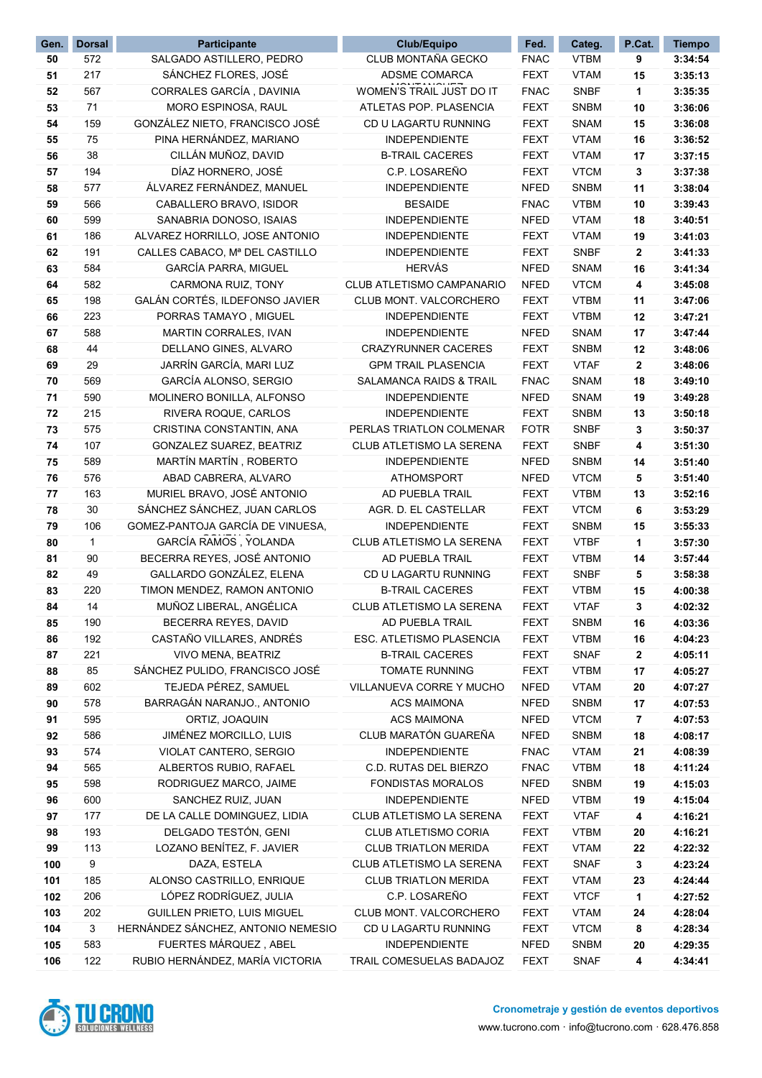| Gen. | <b>Dorsal</b> | Participante                       | Club/Equipo                        | Fed.        | Categ.      | P.Cat. | <b>Tiempo</b> |
|------|---------------|------------------------------------|------------------------------------|-------------|-------------|--------|---------------|
| 50   | 572           | SALGADO ASTILLERO, PEDRO           | CLUB MONTAÑA GECKO                 | <b>FNAC</b> | <b>VTBM</b> | 9      | 3:34:54       |
| 51   | 217           | SÁNCHEZ FLORES, JOSÉ               | ADSME COMARCA                      | <b>FEXT</b> | <b>VTAM</b> | 15     | 3:35:13       |
| 52   | 567           | CORRALES GARCÍA, DAVINIA           | WOMEN'S TRAIL JUST DO IT           | <b>FNAC</b> | <b>SNBF</b> | 1      | 3:35:35       |
| 53   | 71            | MORO ESPINOSA, RAUL                | ATLETAS POP. PLASENCIA             | <b>FEXT</b> | <b>SNBM</b> | 10     | 3:36:06       |
| 54   | 159           | GONZÁLEZ NIETO, FRANCISCO JOSÉ     | CD U LAGARTU RUNNING               | <b>FEXT</b> | <b>SNAM</b> | 15     | 3:36:08       |
| 55   | 75            | PINA HERNÁNDEZ, MARIANO            | <b>INDEPENDIENTE</b>               | <b>FEXT</b> | <b>VTAM</b> | 16     | 3:36:52       |
| 56   | 38            | CILLÁN MUÑOZ, DAVID                | <b>B-TRAIL CACERES</b>             | <b>FEXT</b> | <b>VTAM</b> | 17     | 3:37:15       |
| 57   | 194           | DÍAZ HORNERO, JOSÉ                 | C.P. LOSAREÑO                      | <b>FEXT</b> | <b>VTCM</b> | 3      | 3:37:38       |
| 58   | 577           | ÁLVAREZ FERNÁNDEZ. MANUEL          | <b>INDEPENDIENTE</b>               | <b>NFED</b> | <b>SNBM</b> | 11     | 3:38:04       |
| 59   | 566           | CABALLERO BRAVO, ISIDOR            | <b>BESAIDE</b>                     | <b>FNAC</b> | <b>VTBM</b> | 10     | 3:39:43       |
| 60   | 599           | SANABRIA DONOSO, ISAIAS            | <b>INDEPENDIENTE</b>               | <b>NFED</b> | <b>VTAM</b> | 18     | 3:40:51       |
| 61   | 186           | ALVAREZ HORRILLO, JOSE ANTONIO     | <b>INDEPENDIENTE</b>               | <b>FEXT</b> | <b>VTAM</b> | 19     | 3:41:03       |
| 62   | 191           | CALLES CABACO, Mª DEL CASTILLO     | <b>INDEPENDIENTE</b>               | <b>FEXT</b> | <b>SNBF</b> | 2      | 3:41:33       |
| 63   | 584           | GARCÍA PARRA, MIGUEL               | <b>HERVÁS</b>                      | <b>NFED</b> | <b>SNAM</b> | 16     | 3:41:34       |
| 64   | 582           | CARMONA RUIZ, TONY                 | CLUB ATLETISMO CAMPANARIO          | <b>NFED</b> | <b>VTCM</b> | 4      | 3:45:08       |
| 65   | 198           | GALÁN CORTÉS, ILDEFONSO JAVIER     | CLUB MONT. VALCORCHERO             | <b>FEXT</b> | <b>VTBM</b> | 11     | 3:47:06       |
| 66   | 223           | PORRAS TAMAYO, MIGUEL              | <b>INDEPENDIENTE</b>               | <b>FEXT</b> | <b>VTBM</b> | 12     | 3:47:21       |
| 67   | 588           | MARTIN CORRALES, IVAN              | <b>INDEPENDIENTE</b>               | <b>NFED</b> | <b>SNAM</b> |        | 3:47:44       |
| 68   | 44            |                                    | <b>CRAZYRUNNER CACERES</b>         |             | <b>SNBM</b> | 17     | 3:48:06       |
|      |               | DELLANO GINES, ALVARO              | <b>GPM TRAIL PLASENCIA</b>         | <b>FEXT</b> |             | 12     |               |
| 69   | 29            | JARRÍN GARCÍA, MARI LUZ            |                                    | <b>FEXT</b> | <b>VTAF</b> | 2      | 3:48:06       |
| 70   | 569           | GARCÍA ALONSO, SERGIO              | <b>SALAMANCA RAIDS &amp; TRAIL</b> | <b>FNAC</b> | <b>SNAM</b> | 18     | 3:49:10       |
| 71   | 590           | MOLINERO BONILLA, ALFONSO          | <b>INDEPENDIENTE</b>               | <b>NFED</b> | <b>SNAM</b> | 19     | 3:49:28       |
| 72   | 215           | RIVERA ROQUE, CARLOS               | <b>INDEPENDIENTE</b>               | <b>FEXT</b> | <b>SNBM</b> | 13     | 3:50:18       |
| 73   | 575           | CRISTINA CONSTANTIN, ANA           | PERLAS TRIATLON COLMENAR           | <b>FOTR</b> | <b>SNBF</b> | 3      | 3:50:37       |
| 74   | 107           | GONZALEZ SUAREZ, BEATRIZ           | CLUB ATLETISMO LA SERENA           | <b>FEXT</b> | <b>SNBF</b> | 4      | 3:51:30       |
| 75   | 589           | MARTÍN MARTÍN, ROBERTO             | <b>INDEPENDIENTE</b>               | <b>NFED</b> | <b>SNBM</b> | 14     | 3:51:40       |
| 76   | 576           | ABAD CABRERA, ALVARO               | <b>ATHOMSPORT</b>                  | <b>NFED</b> | <b>VTCM</b> | 5      | 3:51:40       |
| 77   | 163           | MURIEL BRAVO, JOSÉ ANTONIO         | AD PUEBLA TRAIL                    | <b>FEXT</b> | <b>VTBM</b> | 13     | 3:52:16       |
| 78   | 30            | SÁNCHEZ SÁNCHEZ, JUAN CARLOS       | AGR. D. EL CASTELLAR               | <b>FEXT</b> | <b>VTCM</b> | 6      | 3:53:29       |
| 79   | 106           | GOMEZ-PANTOJA GARCÍA DE VINUESA,   | <b>INDEPENDIENTE</b>               | <b>FEXT</b> | <b>SNBM</b> | 15     | 3:55:33       |
| 80   | 1             | GARCÍA RAMOS, YOLANDA              | CLUB ATLETISMO LA SERENA           | <b>FEXT</b> | <b>VTBF</b> | 1      | 3:57:30       |
| 81   | 90            | BECERRA REYES, JOSÉ ANTONIO        | AD PUEBLA TRAIL                    | <b>FEXT</b> | <b>VTBM</b> | 14     | 3:57:44       |
| 82   | 49            | GALLARDO GONZÁLEZ, ELENA           | CD U LAGARTU RUNNING               | <b>FEXT</b> | <b>SNBF</b> | 5      | 3:58:38       |
| 83   | 220           | TIMON MENDEZ, RAMON ANTONIO        | <b>B-TRAIL CACERES</b>             | <b>FEXT</b> | <b>VTBM</b> | 15     | 4:00:38       |
| 84   | 14            | MUÑOZ LIBERAL, ANGÉLICA            | CLUB ATLETISMO LA SERENA           | <b>FEXT</b> | <b>VTAF</b> | 3      | 4:02:32       |
| 85   | 190           | BECERRA REYES, DAVID               | AD PUEBLA TRAIL                    | <b>FEXT</b> | <b>SNBM</b> | 16     | 4:03:36       |
| 86   | 192           | CASTAÑO VILLARES, ANDRÉS           | ESC. ATLETISMO PLASENCIA           | <b>FEXT</b> | <b>VTBM</b> | 16     | 4:04:23       |
| 87   | 221           | VIVO MENA, BEATRIZ                 | <b>B-TRAIL CACERES</b>             | <b>FEXT</b> | <b>SNAF</b> | 2      | 4:05:11       |
| 88   | 85            | SÁNCHEZ PULIDO, FRANCISCO JOSÉ     | TOMATE RUNNING                     | <b>FEXT</b> | <b>VTBM</b> | 17     | 4:05:27       |
| 89   | 602           | TEJEDA PÉREZ, SAMUEL               | VILLANUEVA CORRE Y MUCHO           | <b>NFED</b> | <b>VTAM</b> | 20     | 4:07:27       |
| 90   | 578           | BARRAGÁN NARANJO., ANTONIO         | <b>ACS MAIMONA</b>                 | <b>NFED</b> | <b>SNBM</b> | 17     | 4:07:53       |
| 91   | 595           | ORTIZ, JOAQUIN                     | <b>ACS MAIMONA</b>                 | <b>NFED</b> | <b>VTCM</b> | 7      | 4:07:53       |
| 92   | 586           | JIMÉNEZ MORCILLO, LUIS             | CLUB MARATÓN GUAREÑA               | <b>NFED</b> | <b>SNBM</b> | 18     | 4:08:17       |
| 93   | 574           | VIOLAT CANTERO, SERGIO             | <b>INDEPENDIENTE</b>               | <b>FNAC</b> | <b>VTAM</b> | 21     | 4:08:39       |
| 94   | 565           | ALBERTOS RUBIO, RAFAEL             | C.D. RUTAS DEL BIERZO              | <b>FNAC</b> | <b>VTBM</b> | 18     | 4:11:24       |
| 95   | 598           | RODRIGUEZ MARCO, JAIME             | FONDISTAS MORALOS                  | <b>NFED</b> | <b>SNBM</b> | 19     | 4:15:03       |
| 96   | 600           | SANCHEZ RUIZ, JUAN                 | <b>INDEPENDIENTE</b>               | <b>NFED</b> | <b>VTBM</b> | 19     | 4:15:04       |
| 97   | 177           | DE LA CALLE DOMINGUEZ, LIDIA       | CLUB ATLETISMO LA SERENA           | <b>FEXT</b> | <b>VTAF</b> | 4      | 4:16:21       |
| 98   | 193           | DELGADO TESTÓN, GENI               | CLUB ATLETISMO CORIA               | <b>FEXT</b> | <b>VTBM</b> | 20     | 4:16:21       |
| 99   | 113           | LOZANO BENÍTEZ, F. JAVIER          | <b>CLUB TRIATLON MERIDA</b>        | <b>FEXT</b> | <b>VTAM</b> | 22     | 4:22:32       |
| 100  | 9             | DAZA, ESTELA                       | CLUB ATLETISMO LA SERENA           | <b>FEXT</b> | <b>SNAF</b> | 3      | 4:23:24       |
| 101  | 185           | ALONSO CASTRILLO, ENRIQUE          | <b>CLUB TRIATLON MERIDA</b>        | FEXT        | <b>VTAM</b> | 23     | 4:24:44       |
| 102  | 206           | LÓPEZ RODRÍGUEZ, JULIA             | C.P. LOSAREÑO                      | <b>FEXT</b> | <b>VTCF</b> | 1      | 4:27:52       |
| 103  | 202           | GUILLEN PRIETO, LUIS MIGUEL        | CLUB MONT. VALCORCHERO             | <b>FEXT</b> | <b>VTAM</b> | 24     | 4:28:04       |
| 104  | 3             | HERNÁNDEZ SÁNCHEZ, ANTONIO NEMESIO | CD U LAGARTU RUNNING               | <b>FEXT</b> | <b>VTCM</b> | 8      | 4:28:34       |
| 105  | 583           | FUERTES MÁRQUEZ, ABEL              | INDEPENDIENTE                      | <b>NFED</b> | <b>SNBM</b> | 20     | 4:29:35       |
| 106  | 122           | RUBIO HERNÁNDEZ, MARÍA VICTORIA    | TRAIL COMESUELAS BADAJOZ           | <b>FEXT</b> | <b>SNAF</b> | 4      | 4:34:41       |
|      |               |                                    |                                    |             |             |        |               |

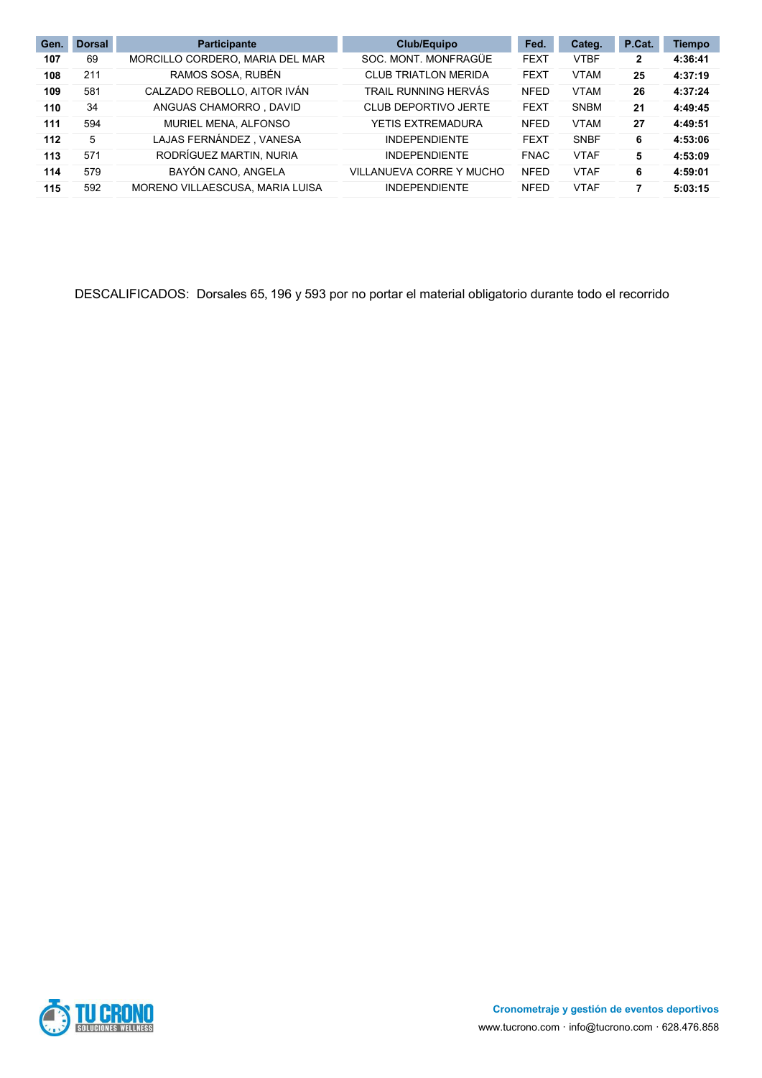| Gen. | <b>Dorsal</b> | <b>Participante</b>             | Club/Equipo                 | Fed.        | Categ.      | P.Cat.       | <b>Tiempo</b> |
|------|---------------|---------------------------------|-----------------------------|-------------|-------------|--------------|---------------|
| 107  | 69            | MORCILLO CORDERO, MARIA DEL MAR | SOC. MONT. MONFRAGÜE        | <b>FEXT</b> | <b>VTBF</b> | $\mathbf{2}$ | 4:36:41       |
| 108  | 211           | RAMOS SOSA, RUBÉN               | <b>CLUB TRIATLON MERIDA</b> | <b>FEXT</b> | <b>VTAM</b> | 25           | 4:37:19       |
| 109  | 581           | CALZADO REBOLLO, AITOR IVÁN     | TRAIL RUNNING HERVÁS        | <b>NFED</b> | <b>VTAM</b> | 26           | 4:37:24       |
| 110  | 34            | ANGUAS CHAMORRO . DAVID         | CLUB DEPORTIVO JERTE        | <b>FEXT</b> | <b>SNBM</b> | 21           | 4:49:45       |
| 111  | 594           | MURIEL MENA, ALFONSO            | YETIS EXTREMADURA           | <b>NFED</b> | <b>VTAM</b> | 27           | 4:49:51       |
| 112  | 5             | LAJAS FERNÁNDEZ, VANESA         | <b>INDEPENDIENTE</b>        | <b>FEXT</b> | <b>SNBF</b> | 6            | 4:53:06       |
| 113  | 571           | RODRÍGUEZ MARTIN, NURIA         | <b>INDEPENDIENTE</b>        | <b>FNAC</b> | <b>VTAF</b> | 5            | 4:53:09       |
| 114  | 579           | BAYÓN CANO, ANGELA              | VILLANUEVA CORRE Y MUCHO    | <b>NFED</b> | <b>VTAF</b> | 6            | 4:59:01       |
| 115  | 592           | MORENO VILLAESCUSA, MARIA LUISA | <b>INDEPENDIENTE</b>        | <b>NFED</b> | <b>VTAF</b> | 7            | 5:03:15       |

DESCALIFICADOS: Dorsales 65, 196 y 593 por no portar el material obligatorio durante todo el recorrido

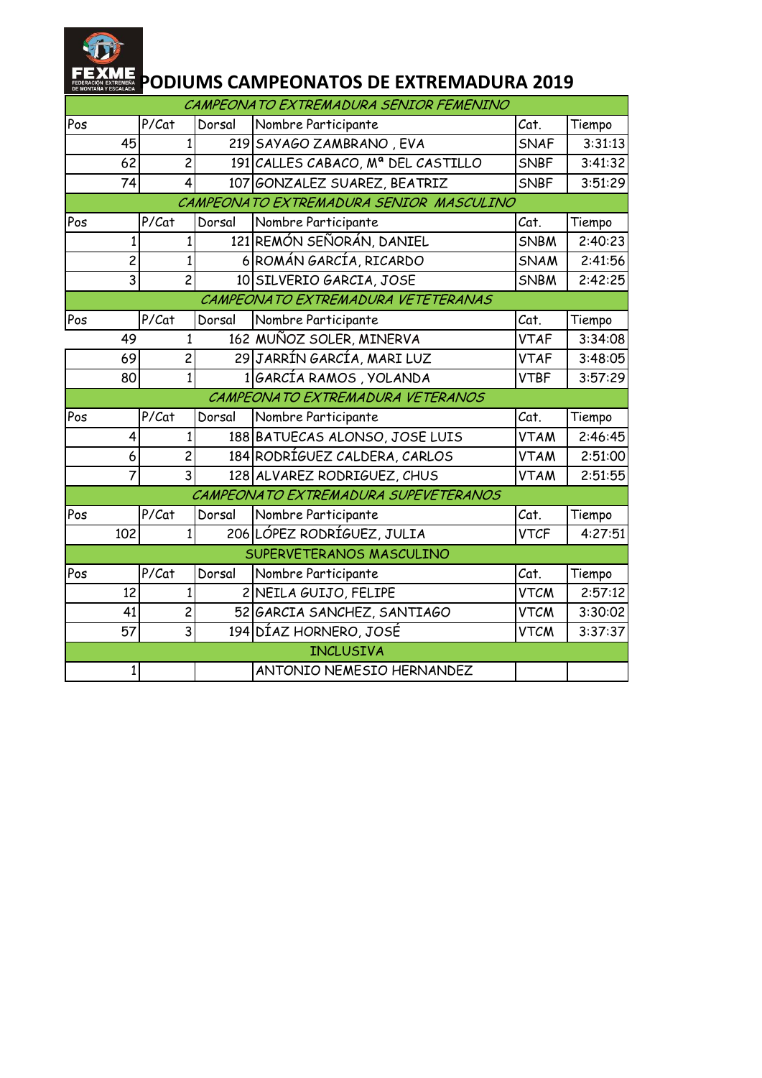

### **ALEX PODIUMS CAMPEONATOS DE EXTREMADURA 2019**

|     |                         |       |                |        | CAMPEONATO EXTREMADURA SENIOR FEMENINO  |             |         |
|-----|-------------------------|-------|----------------|--------|-----------------------------------------|-------------|---------|
| Pos |                         | P/Cat |                | Dorsal | Nombre Participante                     | Cat.        | Tiempo  |
|     | 45                      |       | $\mathbf{1}$   |        | 219 SAYAGO ZAMBRANO, EVA                | <b>SNAF</b> | 3:31:13 |
|     | 62                      |       | $\overline{c}$ |        | 191 CALLES CABACO, Mª DEL CASTILLO      | <b>SNBF</b> | 3:41:32 |
|     | 74                      |       | $\overline{4}$ |        | 107 GONZALEZ SUAREZ, BEATRIZ            | <b>SNBF</b> | 3:51:29 |
|     |                         |       |                |        | CAMPEONATO EXTREMADURA SENIOR MASCULINO |             |         |
| Pos |                         | P/Cat |                | Dorsal | Nombre Participante                     | Cat.        | Tiempo  |
|     | 1                       |       | $\mathbf{1}$   |        | 121 REMÓN SEÑORÁN, DANIEL               | SNBM        | 2:40:23 |
|     | $\overline{\mathbf{c}}$ |       |                |        | 6 ROMÁN GARCÍA, RICARDO                 | <b>SNAM</b> | 2:41:56 |
|     | $\overline{3}$          |       | $\overline{2}$ |        | 10 SILVERIO GARCIA, JOSE                | <b>SNBM</b> | 2:42:25 |
|     |                         |       |                |        | CAMPEONATO EXTREMADURA VETETERANAS      |             |         |
| Pos |                         | P/Cat |                | Dorsal | Nombre Participante                     | Cat.        | Tiempo  |
|     | 49                      |       | $\mathbf{1}$   |        | 162 MUÑOZ SOLER, MINERVA                | <b>VTAF</b> | 3:34:08 |
|     | 69                      |       | $\overline{c}$ |        | 29 JARRÍN GARCÍA, MARI LUZ              | <b>VTAF</b> | 3:48:05 |
|     | 80                      |       | $\mathbf{1}$   |        | 1GARCÍA RAMOS, YOLANDA                  | <b>VTBF</b> | 3:57:29 |
|     |                         |       |                |        | CAMPEONATO EXTREMADURA VETERANOS        |             |         |
| Pos |                         | P/Cat |                | Dorsal | Nombre Participante                     | Cat.        | Tiempo  |
|     | 4                       |       | $\mathbf{1}$   |        | 188 BATUECAS ALONSO, JOSE LUIS          | <b>VTAM</b> | 2:46:45 |
|     | 6                       |       | $\overline{c}$ |        | 184 RODRÍGUEZ CALDERA, CARLOS           | <b>VTAM</b> | 2:51:00 |
|     | 7                       |       | $\overline{3}$ |        | 128 ALVAREZ RODRIGUEZ, CHUS             | <b>VTAM</b> | 2:51:55 |
|     |                         |       |                |        | CAMPEONATO EXTREMADURA SUPEVETERANOS    |             |         |
| Pos |                         | P/Cat |                | Dorsal | Nombre Participante                     | Cat.        | Tiempo  |
|     | 102                     |       | 1              |        | 206 LÓPEZ RODRÍGUEZ, JULIA              | <b>VTCF</b> | 4:27:51 |
|     |                         |       |                |        | SUPERVETERANOS MASCULINO                |             |         |
| Pos |                         | P/Cat |                | Dorsal | Nombre Participante                     | Cat.        | Tiempo  |
|     | 12                      |       | 1              |        | 2 NEILA GUIJO, FELIPE                   | <b>VTCM</b> | 2:57:12 |
|     | 41                      |       | $\overline{2}$ |        | 52 GARCIA SANCHEZ, SANTIAGO             | <b>VTCM</b> | 3:30:02 |
|     | 57                      |       | $\overline{3}$ |        | 194 DÍAZ HORNERO, JOSÉ                  | <b>VTCM</b> | 3:37:37 |
|     |                         |       |                |        | <b>INCLUSIVA</b>                        |             |         |
|     | 1                       |       |                |        | ANTONIO NEMESIO HERNANDEZ               |             |         |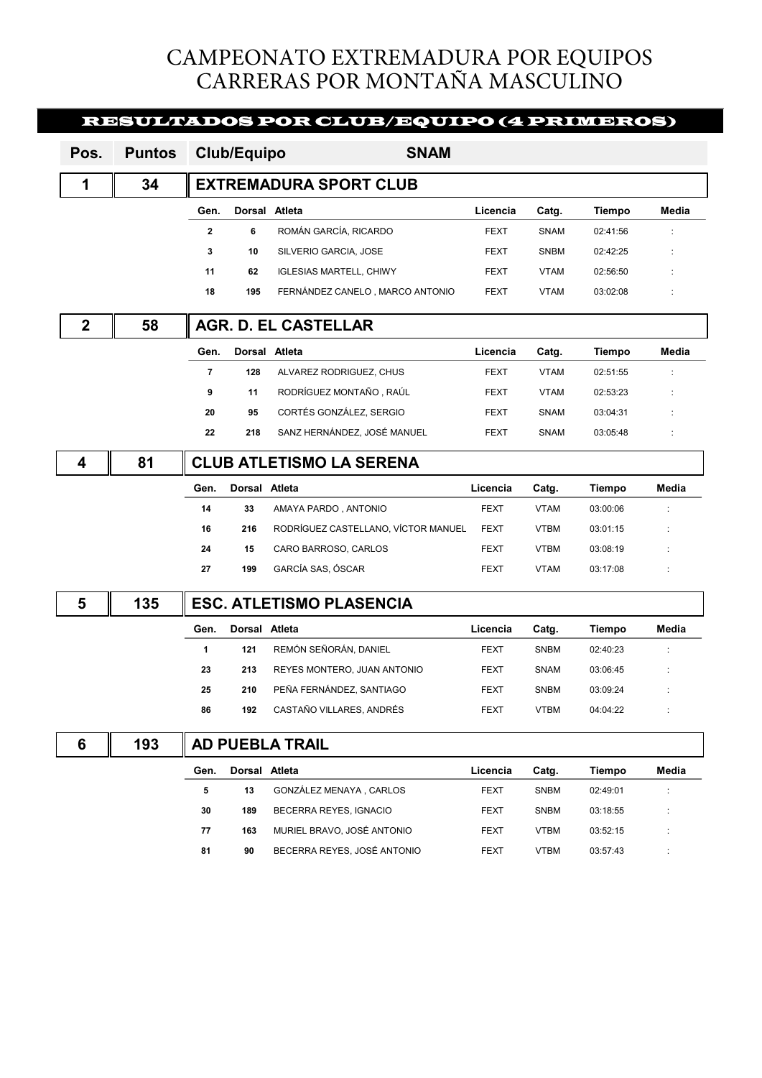## CAMPEONATO EXTREMADURA POR EQUIPOS CARRERAS POR MONTAÑA MASCULINO

|             |               |                         |                               | <b>RESULTADOS POR CLUB/EQUIPO (4 PRIMEROS)</b> |             |             |               |       |  |  |  |
|-------------|---------------|-------------------------|-------------------------------|------------------------------------------------|-------------|-------------|---------------|-------|--|--|--|
| Pos.        | <b>Puntos</b> |                         | <b>Club/Equipo</b>            | <b>SNAM</b>                                    |             |             |               |       |  |  |  |
| 1           | 34            |                         | <b>EXTREMADURA SPORT CLUB</b> |                                                |             |             |               |       |  |  |  |
|             |               | Gen.                    | Dorsal Atleta                 |                                                | Licencia    | Catg.       | Tiempo        | Media |  |  |  |
|             |               | $\overline{2}$          | 6                             | ROMÁN GARCÍA, RICARDO                          | <b>FEXT</b> | SNAM        | 02:41:56      |       |  |  |  |
|             |               | 3                       | 10                            | SILVERIO GARCIA, JOSE                          | <b>FEXT</b> | <b>SNBM</b> | 02:42:25      |       |  |  |  |
|             |               | 11                      | 62                            | <b>IGLESIAS MARTELL, CHIWY</b>                 | <b>FEXT</b> | <b>VTAM</b> | 02:56:50      |       |  |  |  |
|             |               | 18                      | 195                           | FERNÁNDEZ CANELO, MARCO ANTONIO                | <b>FEXT</b> | <b>VTAM</b> | 03:02:08      |       |  |  |  |
| $\mathbf 2$ | 58            |                         |                               | AGR. D. EL CASTELLAR                           |             |             |               |       |  |  |  |
|             |               | Gen.                    | Dorsal                        | Atleta                                         | Licencia    | Catg.       | Tiempo        | Media |  |  |  |
|             |               | $\overline{\mathbf{r}}$ | 128                           | ALVAREZ RODRIGUEZ, CHUS                        | FEXT        | <b>VTAM</b> | 02:51:55      |       |  |  |  |
|             |               | 9                       | 11                            | RODRÍGUEZ MONTAÑO, RAÚL                        | FEXT        | <b>VTAM</b> | 02:53:23      |       |  |  |  |
|             |               | 20                      | 95                            | CORTÉS GONZÁLEZ, SERGIO                        | <b>FEXT</b> | SNAM        | 03:04:31      |       |  |  |  |
|             |               | 22                      | 218                           | SANZ HERNÁNDEZ, JOSÉ MANUEL                    | FEXT        | SNAM        | 03:05:48      |       |  |  |  |
| 4           | 81            |                         |                               | <b>CLUB ATLETISMO LA SERENA</b>                |             |             |               |       |  |  |  |
|             |               | Gen.                    | Dorsal Atleta                 |                                                | Licencia    | Catg.       | Tiempo        | Media |  |  |  |
|             |               | 14                      | 33                            | AMAYA PARDO, ANTONIO                           | <b>FEXT</b> | <b>VTAM</b> | 03:00:06      |       |  |  |  |
|             |               | 16                      | 216                           | RODRÍGUEZ CASTELLANO, VÍCTOR MANUEL            | FEXT        | <b>VTBM</b> | 03:01:15      |       |  |  |  |
|             |               |                         |                               |                                                |             |             |               |       |  |  |  |
|             |               | 24                      | 15                            | CARO BARROSO, CARLOS                           | <b>FEXT</b> | <b>VTBM</b> | 03:08:19      |       |  |  |  |
|             |               | 27                      | 199                           | GARCÍA SAS, ÓSCAR                              | FEXT        | <b>VTAM</b> | 03:17:08      |       |  |  |  |
| 5           | 135           |                         |                               | <b>ESC. ATLETISMO PLASENCIA</b>                |             |             |               |       |  |  |  |
|             |               | Gen.                    | Dorsal Atleta                 |                                                | Licencia    | Catg.       | Tiempo        | Media |  |  |  |
|             |               | 1                       | 121                           | REMÓN SEÑORÁN, DANIEL                          | FEXT        | <b>SNBM</b> | 02:40:23      |       |  |  |  |
|             |               | 23                      | 213                           | REYES MONTERO, JUAN ANTONIO                    | <b>FEXT</b> | SNAM        | 03:06:45      |       |  |  |  |
|             |               | 25                      | 210                           | PEÑA FERNÁNDEZ, SANTIAGO                       | <b>FEXT</b> | SNBM        | 03:09:24      |       |  |  |  |
|             |               | 86                      | 192                           | CASTAÑO VILLARES, ANDRÉS                       | FEXT        | <b>VTBM</b> | 04:04:22      |       |  |  |  |
| 6           | 193           |                         |                               | <b>AD PUEBLA TRAIL</b>                         |             |             |               |       |  |  |  |
|             |               | Gen.                    | Dorsal Atleta                 |                                                | Licencia    | Catg.       | <b>Tiempo</b> | Media |  |  |  |
|             |               | 5                       | 13                            | GONZÁLEZ MENAYA, CARLOS                        | <b>FEXT</b> | <b>SNBM</b> | 02:49:01      |       |  |  |  |
|             |               | 30                      | 189                           | BECERRA REYES, IGNACIO                         | FEXT        | <b>SNBM</b> | 03:18:55      |       |  |  |  |

81 90 BECERRA REYES, JOSÉ ANTONIO FEXT VTBM 03:57:43 :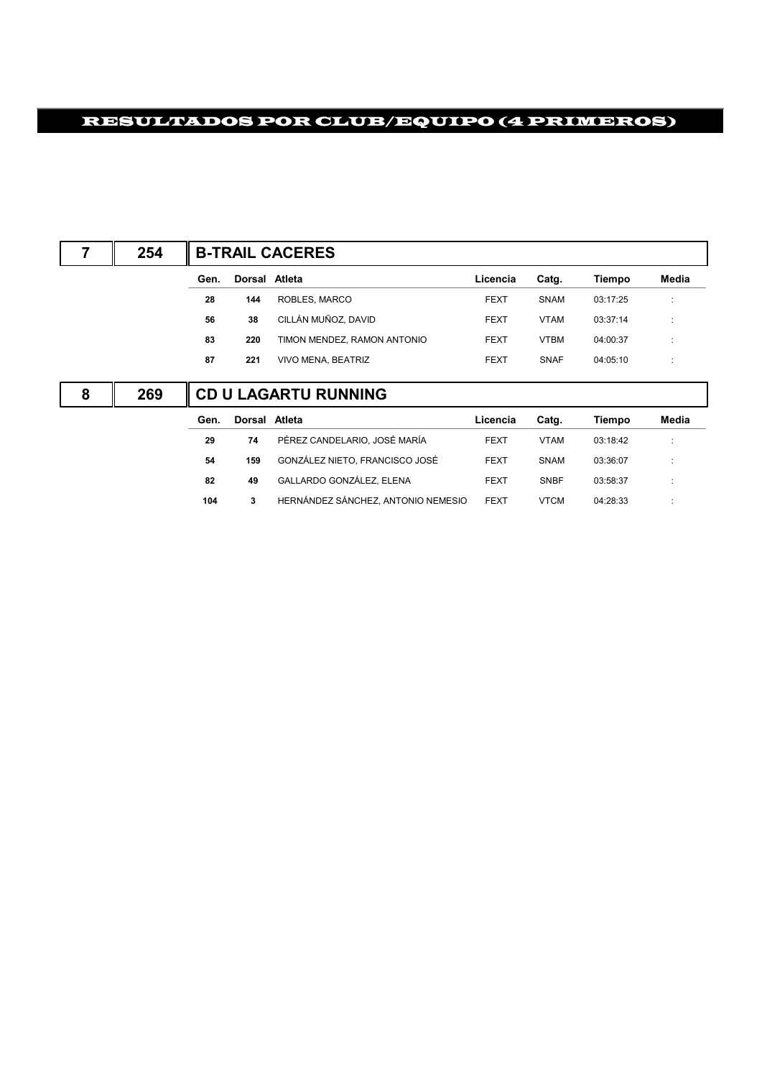# RESULTADOS POR CLUB/EQUIPO (4 PRIMEROS)

|   | 254 | <b>B-TRAIL CACERES</b> |               |                             |             |             |          |                         |  |  |
|---|-----|------------------------|---------------|-----------------------------|-------------|-------------|----------|-------------------------|--|--|
|   |     | Gen.                   | Dorsal Atleta |                             | Licencia    | Catg.       | Tiempo   | Media                   |  |  |
|   |     | 28                     | 144           | ROBLES, MARCO               | <b>FEXT</b> | <b>SNAM</b> | 03:17:25 | $\cdot$<br>$\mathbf{r}$ |  |  |
|   |     | 56                     | 38            | CILLÁN MUÑOZ, DAVID         | <b>FEXT</b> | <b>VTAM</b> | 03:37:14 | $\mathbf{r}$            |  |  |
|   |     | 83                     | 220           | TIMON MENDEZ, RAMON ANTONIO | <b>FEXT</b> | <b>VTBM</b> | 04:00:37 | ÷                       |  |  |
|   |     | 87                     | 221           | <b>VIVO MENA, BEATRIZ</b>   | <b>FEXT</b> | <b>SNAF</b> | 04:05:10 | $\mathbf{r}$            |  |  |
| 8 | 269 |                        |               | <b>CD U LAGARTU RUNNING</b> |             |             |          |                         |  |  |

| Gen. | Dorsal Atleta |                                    | Licencia    | Catg.       | Tiempo   | Media     |
|------|---------------|------------------------------------|-------------|-------------|----------|-----------|
| 29   | 74            | PÉREZ CANDELARIO, JOSÉ MARÍA       | <b>FEXT</b> | <b>VTAM</b> | 03:18:42 | ٠         |
|      |               |                                    |             |             |          |           |
| 54   | 159           | GONZÁLEZ NIETO, FRANCISCO JOSÉ     | <b>FEXT</b> | SNAM        | 03:36:07 |           |
| 82   | 49            | GALLARDO GONZÁLEZ, ELENA           | <b>FEXT</b> | SNBF        | 03:58:37 |           |
| 104  |               | HERNÁNDEZ SÁNCHEZ, ANTONIO NEMESIO | <b>FEXT</b> | <b>VTCM</b> | 04:28:33 | $\bullet$ |